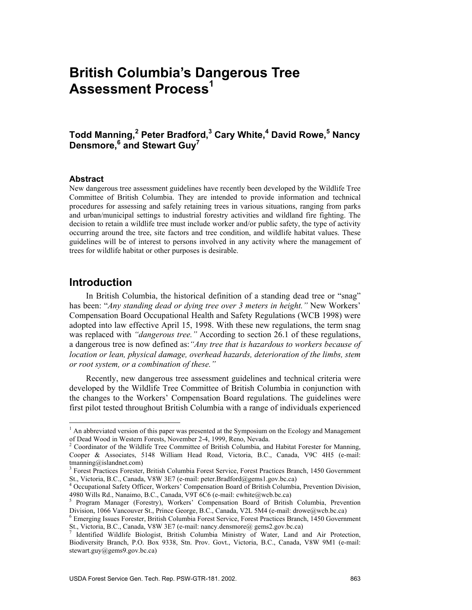# **British Columbia's Dangerous Tree Assessment Process<sup>1</sup>**

## **Todd Manning,<sup>2</sup> Peter Bradford,3 Cary White,4 David Rowe,5 Nancy Densmore,<sup>6</sup> and Stewart Guy7**

#### **Abstract**

New dangerous tree assessment guidelines have recently been developed by the Wildlife Tree Committee of British Columbia. They are intended to provide information and technical procedures for assessing and safely retaining trees in various situations, ranging from parks and urban/municipal settings to industrial forestry activities and wildland fire fighting. The decision to retain a wildlife tree must include worker and/or public safety, the type of activity occurring around the tree, site factors and tree condition, and wildlife habitat values. These guidelines will be of interest to persons involved in any activity where the management of trees for wildlife habitat or other purposes is desirable.

## **Introduction**

 $\overline{a}$ 

In British Columbia, the historical definition of a standing dead tree or "snag" has been: "*Any standing dead or dying tree over 3 meters in height."* New Workers' Compensation Board Occupational Health and Safety Regulations (WCB 1998) were adopted into law effective April 15, 1998. With these new regulations, the term snag was replaced with *"dangerous tree.*" According to section 26.1 of these regulations, a dangerous tree is now defined as:*"Any tree that is hazardous to workers because of location or lean, physical damage, overhead hazards, deterioration of the limbs, stem or root system, or a combination of these."*

Recently, new dangerous tree assessment guidelines and technical criteria were developed by the Wildlife Tree Committee of British Columbia in conjunction with the changes to the Workers' Compensation Board regulations. The guidelines were first pilot tested throughout British Columbia with a range of individuals experienced

<sup>&</sup>lt;sup>1</sup> An abbreviated version of this paper was presented at the Symposium on the Ecology and Management of Dead Wood in Western Forests, November 2-4, 1999, Reno, Nevada. 2

Coordinator of the Wildlife Tree Committee of British Columbia, and Habitat Forester for Manning, Cooper & Associates, 5148 William Head Road, Victoria, B.C., Canada, V9C 4H5 (e-mail: tmanning@islandnet.com)

<sup>3</sup> Forest Practices Forester, British Columbia Forest Service, Forest Practices Branch, 1450 Government St., Victoria, B.C., Canada, V8W 3E7 (e-mail: peter.Bradford@gems1.gov.bc.ca)<br><sup>4</sup> Occupational Safety Officer, Workers' Compensation Board of British Columbia, Prevention Division,

<sup>4980</sup> Wills Rd., Nanaimo, B.C., Canada, V9T 6C6 (e-mail: cwhite@wcb.bc.ca)<br><sup>5</sup> Program Manager (Forestry), Workers' Compensation Board of British Columbia, Prevention

Division, 1066 Vancouver St., Prince George, B.C., Canada, V2L 5M4 (e-mail: drowe@wcb.bc.ca)

Emerging Issues Forester, British Columbia Forest Service, Forest Practices Branch, 1450 Government St., Victoria, B.C., Canada, V8W 3E7 (e-mail: nancy.densmore@ gems2.gov.bc.ca) 7

Identified Wildlife Biologist, British Columbia Ministry of Water, Land and Air Protection, Biodiversity Branch, P.O. Box 9338, Stn. Prov. Govt., Victoria, B.C., Canada, V8W 9M1 (e-mail: stewart.guy@gems9.gov.bc.ca)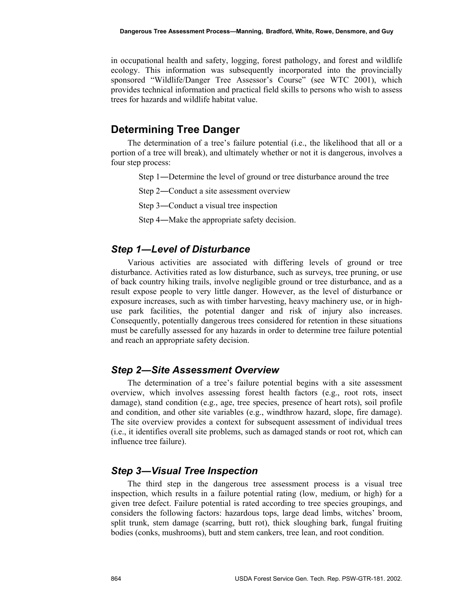in occupational health and safety, logging, forest pathology, and forest and wildlife ecology. This information was subsequently incorporated into the provincially sponsored "Wildlife/Danger Tree Assessor's Course" (see WTC 2001), which provides technical information and practical field skills to persons who wish to assess trees for hazards and wildlife habitat value.

## **Determining Tree Danger**

The determination of a tree's failure potential (i.e., the likelihood that all or a portion of a tree will break), and ultimately whether or not it is dangerous, involves a four step process:

- Step 1―Determine the level of ground or tree disturbance around the tree
- Step 2―Conduct a site assessment overview
- Step 3―Conduct a visual tree inspection
- Step 4―Make the appropriate safety decision.

#### *Step 1―Level of Disturbance*

Various activities are associated with differing levels of ground or tree disturbance. Activities rated as low disturbance, such as surveys, tree pruning, or use of back country hiking trails, involve negligible ground or tree disturbance, and as a result expose people to very little danger. However, as the level of disturbance or exposure increases, such as with timber harvesting, heavy machinery use, or in highuse park facilities, the potential danger and risk of injury also increases. Consequently, potentially dangerous trees considered for retention in these situations must be carefully assessed for any hazards in order to determine tree failure potential and reach an appropriate safety decision.

#### *Step 2―Site Assessment Overview*

The determination of a tree's failure potential begins with a site assessment overview, which involves assessing forest health factors (e.g., root rots, insect damage), stand condition (e.g., age, tree species, presence of heart rots), soil profile and condition, and other site variables (e.g., windthrow hazard, slope, fire damage). The site overview provides a context for subsequent assessment of individual trees (i.e., it identifies overall site problems, such as damaged stands or root rot, which can influence tree failure).

#### *Step 3―Visual Tree Inspection*

The third step in the dangerous tree assessment process is a visual tree inspection, which results in a failure potential rating (low, medium, or high) for a given tree defect. Failure potential is rated according to tree species groupings, and considers the following factors: hazardous tops, large dead limbs, witches' broom, split trunk, stem damage (scarring, butt rot), thick sloughing bark, fungal fruiting bodies (conks, mushrooms), butt and stem cankers, tree lean, and root condition.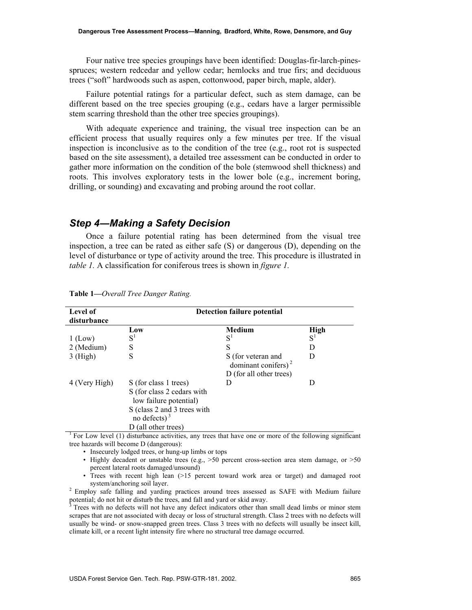Four native tree species groupings have been identified: Douglas-fir-larch-pinesspruces; western redcedar and yellow cedar; hemlocks and true firs; and deciduous trees ("soft" hardwoods such as aspen, cottonwood, paper birch, maple, alder).

Failure potential ratings for a particular defect, such as stem damage, can be different based on the tree species grouping (e.g., cedars have a larger permissible stem scarring threshold than the other tree species groupings).

With adequate experience and training, the visual tree inspection can be an efficient process that usually requires only a few minutes per tree. If the visual inspection is inconclusive as to the condition of the tree (e.g., root rot is suspected based on the site assessment), a detailed tree assessment can be conducted in order to gather more information on the condition of the bole (stemwood shell thickness) and roots. This involves exploratory tests in the lower bole (e.g., increment boring, drilling, or sounding) and excavating and probing around the root collar.

#### *Step 4―Making a Safety Decision*

Once a failure potential rating has been determined from the visual tree inspection, a tree can be rated as either safe (S) or dangerous (D), depending on the level of disturbance or type of activity around the tree. This procedure is illustrated in *table 1.* A classification for coniferous trees is shown in *figure 1.*

| Level of<br>disturbance | Detection failure potential                                                                                                                          |                                                                         |       |  |  |
|-------------------------|------------------------------------------------------------------------------------------------------------------------------------------------------|-------------------------------------------------------------------------|-------|--|--|
|                         | Low                                                                                                                                                  | <b>Medium</b>                                                           | High  |  |  |
| $1$ (Low)               | $S^1$                                                                                                                                                | $S^1$                                                                   | $S^1$ |  |  |
| 2 (Medium)              | S                                                                                                                                                    | S                                                                       | Ð     |  |  |
| $3$ (High)              | S                                                                                                                                                    | S (for veteran and<br>dominant conifers) $2$<br>D (for all other trees) | D     |  |  |
| 4 (Very High)           | S (for class 1 trees)<br>S (for class 2 cedars with<br>low failure potential)<br>S (class 2 and 3 trees with<br>no defects) $3$<br>(all other trees) | Ð                                                                       | Ð     |  |  |

**Table 1—***Overall Tree Danger Rating.* 

<sup>1</sup> For Low level (1) disturbance activities, any trees that have one or more of the following significant tree hazards will become D (dangerous):

- Insecurely lodged trees, or hung-up limbs or tops
- Highly decadent or unstable trees (e.g., >50 percent cross-section area stem damage, or >50 percent lateral roots damaged/unsound)
- Trees with recent high lean (>15 percent toward work area or target) and damaged root system/anchoring soil layer. 2 Employ safe falling and yarding practices around trees assessed as SAFE with Medium failure

potential; do not hit or disturb the trees, and fall and yard or skid away.

Trees with no defects will not have any defect indicators other than small dead limbs or minor stem scrapes that are not associated with decay or loss of structural strength. Class 2 trees with no defects will usually be wind- or snow-snapped green trees. Class 3 trees with no defects will usually be insect kill, climate kill, or a recent light intensity fire where no structural tree damage occurred.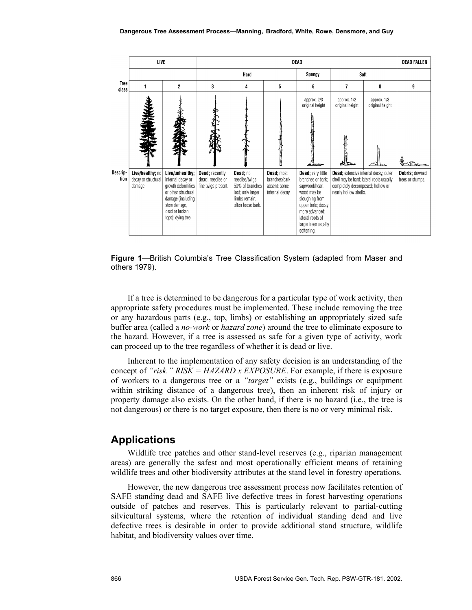|                      |                                                    | LIVE                                                                                                                                                           |                                                           | <b>DEAD</b>                                                                                              |                                                                |                                                                                                                                                                                            |                                                                                                                                                        |                                                  |                                    |
|----------------------|----------------------------------------------------|----------------------------------------------------------------------------------------------------------------------------------------------------------------|-----------------------------------------------------------|----------------------------------------------------------------------------------------------------------|----------------------------------------------------------------|--------------------------------------------------------------------------------------------------------------------------------------------------------------------------------------------|--------------------------------------------------------------------------------------------------------------------------------------------------------|--------------------------------------------------|------------------------------------|
|                      |                                                    |                                                                                                                                                                | Hard                                                      |                                                                                                          |                                                                | Spongy                                                                                                                                                                                     | Soft                                                                                                                                                   |                                                  |                                    |
| <b>Tree</b><br>class |                                                    | $\overline{c}$                                                                                                                                                 | 3                                                         | 4                                                                                                        | 5                                                              | 6                                                                                                                                                                                          | 7                                                                                                                                                      | 8                                                | 9                                  |
|                      |                                                    |                                                                                                                                                                |                                                           |                                                                                                          |                                                                | approx. 2/3<br>original height                                                                                                                                                             | approx. 1/2<br>original height<br>o ta                                                                                                                 | approx. 1/3<br>original height<br>$\frac{d}{dt}$ |                                    |
| Descrip-<br>tion     | Live/healthy; no<br>decay or structural<br>damage. | Live/unhealthy;<br>internal decay or<br>growth deformities<br>or other structural<br>damage (including<br>stem damage,<br>dead or broken<br>tops); dying tree. | Dead; recently<br>dead, needles or<br>fine twigs present. | Dead; no<br>needles/twigs;<br>50% of branches<br>lost; only larger<br>limbs remain;<br>often loose bark. | Dead; most<br>branches/bark<br>absent; some<br>internal decay. | Dead; very little<br>branches or bark;<br>sapwood/heart-<br>wood may be<br>sloughing from<br>upper bole; decay<br>more advanced:<br>lateral roots of<br>larger trees usually<br>softening. | <b>Dead</b> ; extensive internal decay; outer<br>shell may be hard; lateral roots usually<br>completely decomposed; hollow or<br>nearly hollow shells. |                                                  | Debris; downed<br>trees or stumps. |

**Figure 1**—British Columbia's Tree Classification System (adapted from Maser and others 1979).

If a tree is determined to be dangerous for a particular type of work activity, then appropriate safety procedures must be implemented. These include removing the tree or any hazardous parts (e.g., top, limbs) or establishing an appropriately sized safe buffer area (called a *no-work* or *hazard zone*) around the tree to eliminate exposure to the hazard. However, if a tree is assessed as safe for a given type of activity, work can proceed up to the tree regardless of whether it is dead or live.

Inherent to the implementation of any safety decision is an understanding of the concept of *"risk." RISK = HAZARD x EXPOSURE*. For example, if there is exposure of workers to a dangerous tree or a *"target"* exists (e.g., buildings or equipment within striking distance of a dangerous tree), then an inherent risk of injury or property damage also exists. On the other hand, if there is no hazard (i.e., the tree is not dangerous) or there is no target exposure, then there is no or very minimal risk.

### **Applications**

Wildlife tree patches and other stand-level reserves (e.g., riparian management areas) are generally the safest and most operationally efficient means of retaining wildlife trees and other biodiversity attributes at the stand level in forestry operations.

However, the new dangerous tree assessment process now facilitates retention of SAFE standing dead and SAFE live defective trees in forest harvesting operations outside of patches and reserves. This is particularly relevant to partial-cutting silvicultural systems, where the retention of individual standing dead and live defective trees is desirable in order to provide additional stand structure, wildlife habitat, and biodiversity values over time.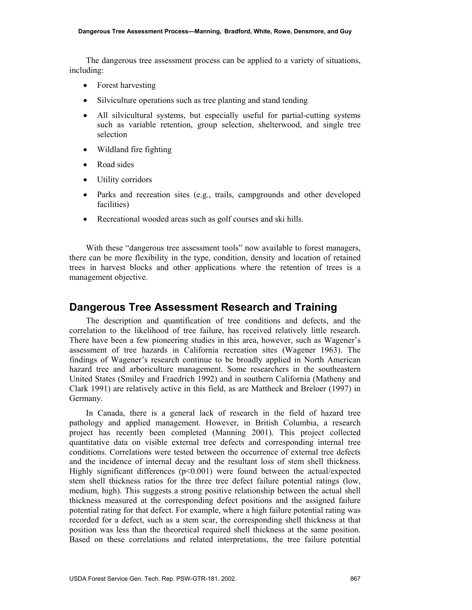The dangerous tree assessment process can be applied to a variety of situations, including:

- Forest harvesting
- Silviculture operations such as tree planting and stand tending
- All silvicultural systems, but especially useful for partial-cutting systems such as variable retention, group selection, shelterwood, and single tree selection
- Wildland fire fighting
- Road sides
- Utility corridors
- Parks and recreation sites (e.g., trails, campgrounds and other developed facilities)
- Recreational wooded areas such as golf courses and ski hills.

With these "dangerous tree assessment tools" now available to forest managers, there can be more flexibility in the type, condition, density and location of retained trees in harvest blocks and other applications where the retention of trees is a management objective.

### **Dangerous Tree Assessment Research and Training**

The description and quantification of tree conditions and defects, and the correlation to the likelihood of tree failure, has received relatively little research. There have been a few pioneering studies in this area, however, such as Wagener's assessment of tree hazards in California recreation sites (Wagener 1963). The findings of Wagener's research continue to be broadly applied in North American hazard tree and arboriculture management. Some researchers in the southeastern United States (Smiley and Fraedrich 1992) and in southern California (Matheny and Clark 1991) are relatively active in this field, as are Mattheck and Breloer (1997) in Germany.

In Canada, there is a general lack of research in the field of hazard tree pathology and applied management. However, in British Columbia, a research project has recently been completed (Manning 2001). This project collected quantitative data on visible external tree defects and corresponding internal tree conditions. Correlations were tested between the occurrence of external tree defects and the incidence of internal decay and the resultant loss of stem shell thickness. Highly significant differences  $(p<0.001)$  were found between the actual/expected stem shell thickness ratios for the three tree defect failure potential ratings (low, medium, high). This suggests a strong positive relationship between the actual shell thickness measured at the corresponding defect positions and the assigned failure potential rating for that defect. For example, where a high failure potential rating was recorded for a defect, such as a stem scar, the corresponding shell thickness at that position was less than the theoretical required shell thickness at the same position. Based on these correlations and related interpretations, the tree failure potential